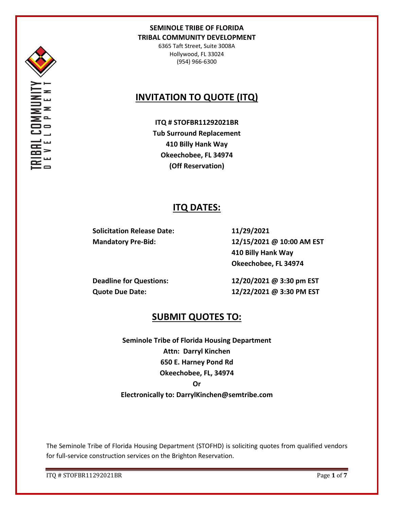

6365 Taft Street, Suite 3008A Hollywood, FL 33024 (954) 966-6300

# **INVITATION TO QUOTE (ITQ)**

**ITQ # STOFBR11292021BR Tub Surround Replacement 410 Billy Hank Way Okeechobee, FL 34974 (Off Reservation)**

## **ITQ DATES:**

**Solicitation Release Date: 11/29/2021**

**Mandatory Pre-Bid: 12/15/2021 @ 10:00 AM EST 410 Billy Hank Way Okeechobee, FL 34974**

**Deadline for Questions: 12/20/2021 @ 3:30 pm EST Quote Due Date: 12/22/2021 @ 3:30 PM EST**

## **SUBMIT QUOTES TO:**

**Seminole Tribe of Florida Housing Department Attn: Darryl Kinchen 650 E. Harney Pond Rd Okeechobee, FL, 34974 Or Electronically to: DarrylKinchen@semtribe.com**

The Seminole Tribe of Florida Housing Department (STOFHD) is soliciting quotes from qualified vendors for full-service construction services on the Brighton Reservation.

ITQ # STOFBR11292021BR Page **1** of **7**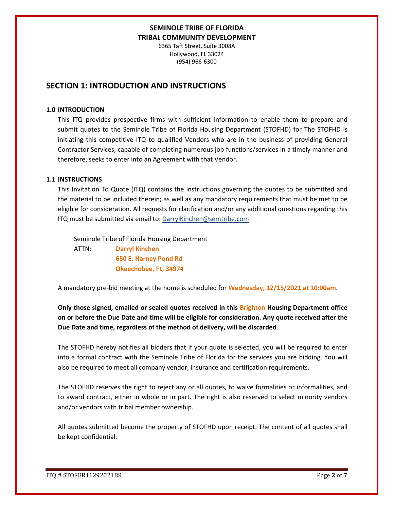6365 Taft Street, Suite 3008A Hollywood, FL 33024 (954) 966-6300

## **SECTION 1: INTRODUCTION AND INSTRUCTIONS**

#### **1.0 INTRODUCTION**

This ITQ provides prospective firms with sufficient information to enable them to prepare and submit quotes to the Seminole Tribe of Florida Housing Department (STOFHD) for The STOFHD is initiating this competitive ITQ to qualified Vendors who are in the business of providing General Contractor Services, capable of completing numerous job functions/services in a timely manner and therefore, seeks to enter into an Agreement with that Vendor.

#### **1.1 INSTRUCTIONS**

This Invitation To Quote (ITQ) contains the instructions governing the quotes to be submitted and the material to be included therein; as well as any mandatory requirements that must be met to be eligible for consideration. All requests for clarification and/or any additional questions regarding this ITQ must be submitted via email to: DarrylKinchen@semtribe.com

 Seminole Tribe of Florida Housing Department ATTN: **Darryl Kinchen**

 **650 E. Harney Pond Rd Okeechobee, FL, 34974**

A mandatory pre-bid meeting at the home is scheduled for **Wednesday, 12/15/2021 at 10:00am.**

**Only those signed, emailed or sealed quotes received in this Brighton Housing Department office on or before the Due Date and time will be eligible for consideration. Any quote received after the Due Date and time, regardless of the method of delivery, will be discarded**.

The STOFHD hereby notifies all bidders that if your quote is selected, you will be required to enter into a formal contract with the Seminole Tribe of Florida for the services you are bidding. You will also be required to meet all company vendor, insurance and certification requirements.

The STOFHD reserves the right to reject any or all quotes, to waive formalities or informalities, and to award contract, either in whole or in part. The right is also reserved to select minority vendors and/or vendors with tribal member ownership.

All quotes submitted become the property of STOFHD upon receipt. The content of all quotes shall be kept confidential.

ITQ # STOFBR11292021BR Page **2** of **7**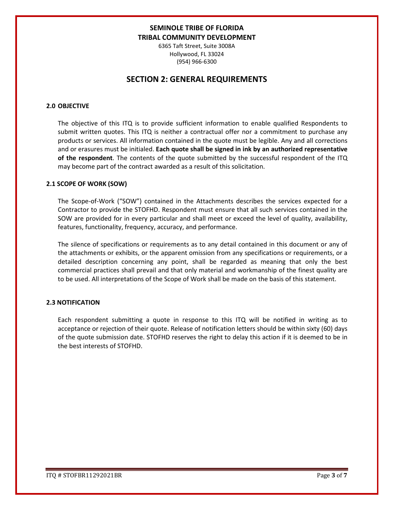6365 Taft Street, Suite 3008A Hollywood, FL 33024 (954) 966-6300

## **SECTION 2: GENERAL REQUIREMENTS**

### **2.0 OBJECTIVE**

The objective of this ITQ is to provide sufficient information to enable qualified Respondents to submit written quotes. This ITQ is neither a contractual offer nor a commitment to purchase any products or services. All information contained in the quote must be legible. Any and all corrections and or erasures must be initialed. **Each quote shall be signed in ink by an authorized representative of the respondent**. The contents of the quote submitted by the successful respondent of the ITQ may become part of the contract awarded as a result of this solicitation.

#### **2.1 SCOPE OF WORK (SOW)**

The Scope-of-Work ("SOW") contained in the Attachments describes the services expected for a Contractor to provide the STOFHD. Respondent must ensure that all such services contained in the SOW are provided for in every particular and shall meet or exceed the level of quality, availability, features, functionality, frequency, accuracy, and performance.

The silence of specifications or requirements as to any detail contained in this document or any of the attachments or exhibits, or the apparent omission from any specifications or requirements, or a detailed description concerning any point, shall be regarded as meaning that only the best commercial practices shall prevail and that only material and workmanship of the finest quality are to be used. All interpretations of the Scope of Work shall be made on the basis of this statement.

#### **2.3 NOTIFICATION**

Each respondent submitting a quote in response to this ITQ will be notified in writing as to acceptance or rejection of their quote. Release of notification letters should be within sixty (60) days of the quote submission date. STOFHD reserves the right to delay this action if it is deemed to be in the best interests of STOFHD.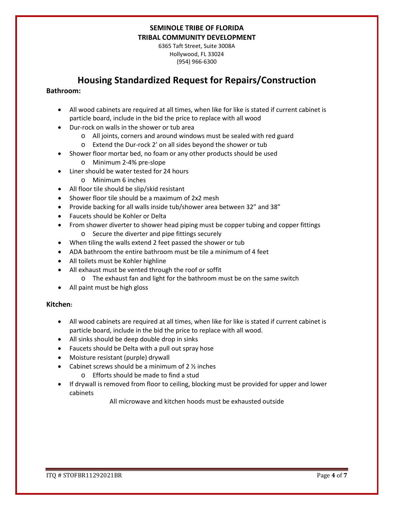6365 Taft Street, Suite 3008A Hollywood, FL 33024 (954) 966-6300

# **Housing Standardized Request for Repairs/Construction**

### **Bathroom:**

- All wood cabinets are required at all times, when like for like is stated if current cabinet is particle board, include in the bid the price to replace with all wood
- Dur-rock on walls in the shower or tub area
	- o All joints, corners and around windows must be sealed with red guard
	- o Extend the Dur-rock 2' on all sides beyond the shower or tub
- Shower floor mortar bed, no foam or any other products should be used
	- o Minimum 2-4% pre-slope
- Liner should be water tested for 24 hours
	- o Minimum 6 inches
- All floor tile should be slip/skid resistant
- Shower floor tile should be a maximum of 2x2 mesh
- Provide backing for all walls inside tub/shower area between 32" and 38"
- Faucets should be Kohler or Delta
- From shower diverter to shower head piping must be copper tubing and copper fittings o Secure the diverter and pipe fittings securely
- When tiling the walls extend 2 feet passed the shower or tub
- ADA bathroom the entire bathroom must be tile a minimum of 4 feet
- All toilets must be Kohler highline
- All exhaust must be vented through the roof or soffit
	- o The exhaust fan and light for the bathroom must be on the same switch
- All paint must be high gloss

### **Kitchen:**

- All wood cabinets are required at all times, when like for like is stated if current cabinet is particle board, include in the bid the price to replace with all wood.
- All sinks should be deep double drop in sinks
- Faucets should be Delta with a pull out spray hose
- Moisture resistant (purple) drywall
- Cabinet screws should be a minimum of  $2 \frac{1}{2}$  inches
	- o Efforts should be made to find a stud
- If drywall is removed from floor to ceiling, blocking must be provided for upper and lower cabinets

All microwave and kitchen hoods must be exhausted outside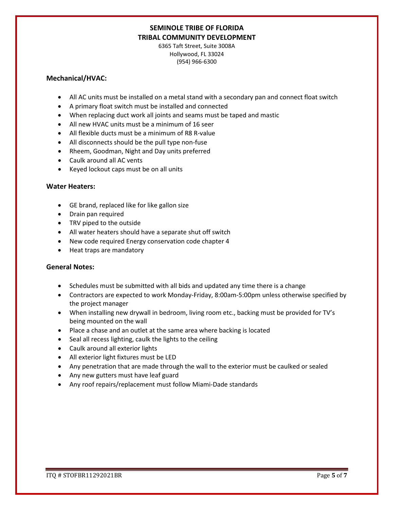6365 Taft Street, Suite 3008A Hollywood, FL 33024 (954) 966-6300

### **Mechanical/HVAC:**

- All AC units must be installed on a metal stand with a secondary pan and connect float switch
- A primary float switch must be installed and connected
- When replacing duct work all joints and seams must be taped and mastic
- All new HVAC units must be a minimum of 16 seer
- All flexible ducts must be a minimum of R8 R-value
- All disconnects should be the pull type non-fuse
- Rheem, Goodman, Night and Day units preferred
- Caulk around all AC vents
- Keyed lockout caps must be on all units

### **Water Heaters:**

- GE brand, replaced like for like gallon size
- Drain pan required
- TRV piped to the outside
- All water heaters should have a separate shut off switch
- New code required Energy conservation code chapter 4
- Heat traps are mandatory

### **General Notes:**

- Schedules must be submitted with all bids and updated any time there is a change
- Contractors are expected to work Monday-Friday, 8:00am-5:00pm unless otherwise specified by the project manager
- When installing new drywall in bedroom, living room etc., backing must be provided for TV's being mounted on the wall
- Place a chase and an outlet at the same area where backing is located
- Seal all recess lighting, caulk the lights to the ceiling
- Caulk around all exterior lights
- All exterior light fixtures must be LED
- Any penetration that are made through the wall to the exterior must be caulked or sealed
- Any new gutters must have leaf guard
- Any roof repairs/replacement must follow Miami-Dade standards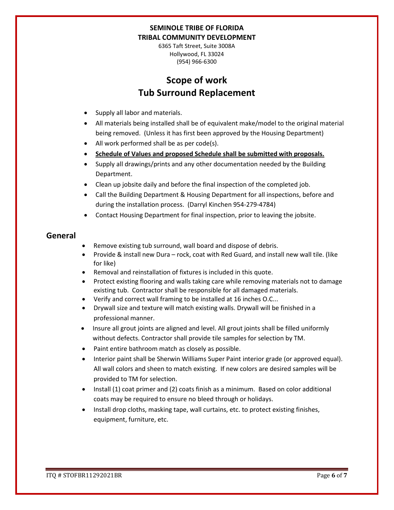6365 Taft Street, Suite 3008A Hollywood, FL 33024 (954) 966-6300

# **Scope of work Tub Surround Replacement**

- Supply all labor and materials.
- All materials being installed shall be of equivalent make/model to the original material being removed. (Unless it has first been approved by the Housing Department)
- All work performed shall be as per code(s).
- **Schedule of Values and proposed Schedule shall be submitted with proposals.**
- Supply all drawings/prints and any other documentation needed by the Building Department.
- Clean up jobsite daily and before the final inspection of the completed job.
- Call the Building Department & Housing Department for all inspections, before and during the installation process. (Darryl Kinchen 954-279-4784)
- Contact Housing Department for final inspection, prior to leaving the jobsite.

## **General**

- Remove existing tub surround, wall board and dispose of debris.
- Provide & install new Dura rock, coat with Red Guard, and install new wall tile. (like for like)
- Removal and reinstallation of fixtures is included in this quote.
- Protect existing flooring and walls taking care while removing materials not to damage existing tub. Contractor shall be responsible for all damaged materials.
- Verify and correct wall framing to be installed at 16 inches O.C...
- Drywall size and texture will match existing walls. Drywall will be finished in a professional manner.
- Insure all grout joints are aligned and level. All grout joints shall be filled uniformly without defects. Contractor shall provide tile samples for selection by TM.
- Paint entire bathroom match as closely as possible.
- Interior paint shall be Sherwin Williams Super Paint interior grade (or approved equal). All wall colors and sheen to match existing. If new colors are desired samples will be provided to TM for selection.
- Install (1) coat primer and (2) coats finish as a minimum. Based on color additional coats may be required to ensure no bleed through or holidays.
- Install drop cloths, masking tape, wall curtains, etc. to protect existing finishes, equipment, furniture, etc.